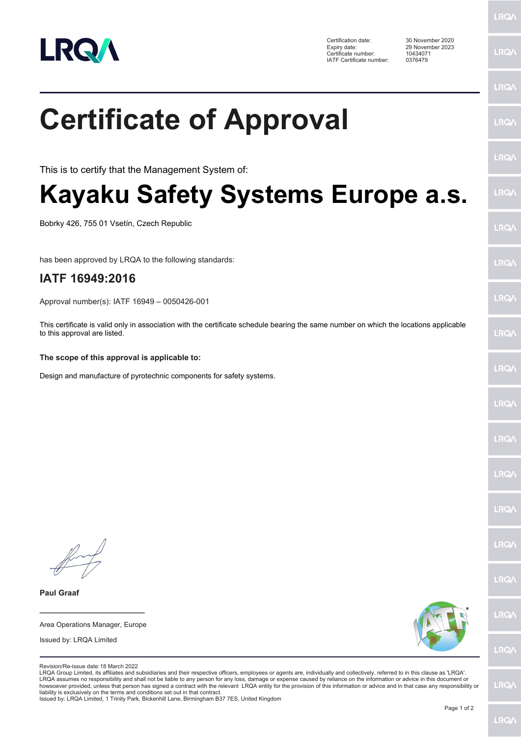

**LRQA** 

|                                                                                                                                                                                                                                                                                                                                                                                                                                                                                                                                                                                                                                                                                                                                                                              | LRQ/ |
|------------------------------------------------------------------------------------------------------------------------------------------------------------------------------------------------------------------------------------------------------------------------------------------------------------------------------------------------------------------------------------------------------------------------------------------------------------------------------------------------------------------------------------------------------------------------------------------------------------------------------------------------------------------------------------------------------------------------------------------------------------------------------|------|
| <b>Certificate of Approval</b>                                                                                                                                                                                                                                                                                                                                                                                                                                                                                                                                                                                                                                                                                                                                               | LRQ/ |
| This is to certify that the Management System of:                                                                                                                                                                                                                                                                                                                                                                                                                                                                                                                                                                                                                                                                                                                            | LRQ/ |
| Kayaku Safety Systems Europe a.s.                                                                                                                                                                                                                                                                                                                                                                                                                                                                                                                                                                                                                                                                                                                                            | LRQ/ |
| Bobrky 426, 755 01 Vsetín, Czech Republic                                                                                                                                                                                                                                                                                                                                                                                                                                                                                                                                                                                                                                                                                                                                    | LRQ/ |
| has been approved by LRQA to the following standards:                                                                                                                                                                                                                                                                                                                                                                                                                                                                                                                                                                                                                                                                                                                        | LRQ/ |
| IATF 16949:2016                                                                                                                                                                                                                                                                                                                                                                                                                                                                                                                                                                                                                                                                                                                                                              |      |
| Approval number(s): IATF 16949 - 0050426-001                                                                                                                                                                                                                                                                                                                                                                                                                                                                                                                                                                                                                                                                                                                                 | LRQ/ |
| This certificate is valid only in association with the certificate schedule bearing the same number on which the locations applicable<br>to this approval are listed.                                                                                                                                                                                                                                                                                                                                                                                                                                                                                                                                                                                                        | LRQ/ |
| The scope of this approval is applicable to:                                                                                                                                                                                                                                                                                                                                                                                                                                                                                                                                                                                                                                                                                                                                 |      |
| Design and manufacture of pyrotechnic components for safety systems.                                                                                                                                                                                                                                                                                                                                                                                                                                                                                                                                                                                                                                                                                                         | LRQ/ |
|                                                                                                                                                                                                                                                                                                                                                                                                                                                                                                                                                                                                                                                                                                                                                                              | LRQ/ |
|                                                                                                                                                                                                                                                                                                                                                                                                                                                                                                                                                                                                                                                                                                                                                                              | LRQ/ |
|                                                                                                                                                                                                                                                                                                                                                                                                                                                                                                                                                                                                                                                                                                                                                                              | LRQ/ |
|                                                                                                                                                                                                                                                                                                                                                                                                                                                                                                                                                                                                                                                                                                                                                                              | LRQ/ |
|                                                                                                                                                                                                                                                                                                                                                                                                                                                                                                                                                                                                                                                                                                                                                                              | LRQ/ |
|                                                                                                                                                                                                                                                                                                                                                                                                                                                                                                                                                                                                                                                                                                                                                                              | LRQ/ |
| <b>Paul Graaf</b>                                                                                                                                                                                                                                                                                                                                                                                                                                                                                                                                                                                                                                                                                                                                                            |      |
| Area Operations Manager, Europe                                                                                                                                                                                                                                                                                                                                                                                                                                                                                                                                                                                                                                                                                                                                              | LRQ/ |
| Issued by: LRQA Limited                                                                                                                                                                                                                                                                                                                                                                                                                                                                                                                                                                                                                                                                                                                                                      | LRQ/ |
| Revision/Re-issue date: 18 March 2022<br>LRQA Group Limited, its affiliates and subsidiaries and their respective officers, employees or agents are, individually and collectively, referred to in this clause as 'LRQA'.<br>LRQA assumes no responsibility and shall not be liable to any person for any loss, damage or expense caused by reliance on the information or advice in this document or<br>howsoever provided, unless that person has signed a contract with the relevant LRQA entity for the provision of this information or advice and in that case any responsibility or<br>liability is exclusively on the terms and conditions set out in that contract.<br>Issued by: LRQA Limited, 1 Trinity Park, Bickenhill Lane, Birmingham B37 7ES, United Kingdom | LRQ/ |
| Page 1 of 2                                                                                                                                                                                                                                                                                                                                                                                                                                                                                                                                                                                                                                                                                                                                                                  |      |